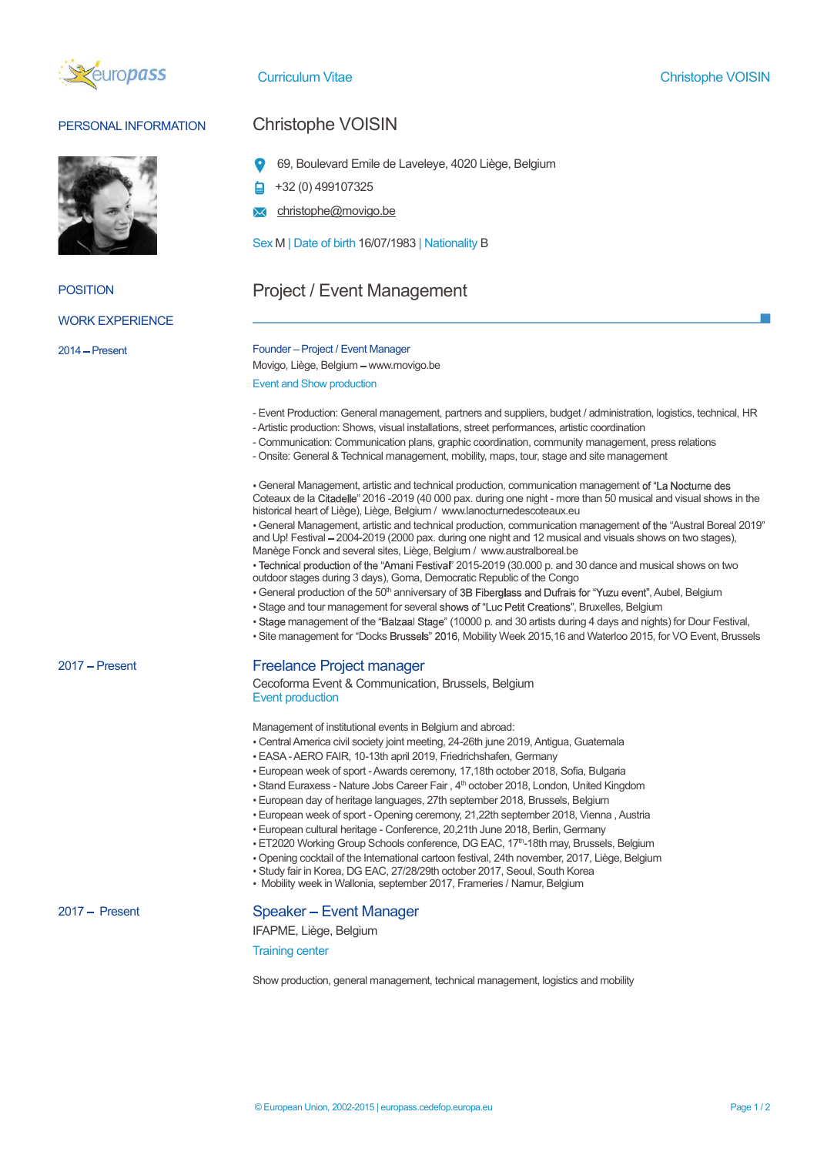



## PERSONAL INFORMATION Christophe VOISIN

- 69, Boulevard Emile de Laveleye, 4020 Liège, Belgium
- +32 (0) 499107325
- christophe@movigo.be

# Sex M | Date of birth 16/07/1983 | Nationality B<br>POSITION Project / Event Management<br>WORK EXPERIENCE Project / Event Management<br>
WORK EXPERIENCE

### 2014 Present Founder Project / Event Manager

Movigo, Liège, Belgium - www.movigo.be

Event and Show production

- Event Production: General management, partners and suppliers, budget / administration, logistics, technical, HR
- Artistic production: Shows, visual installations, street performances, artistic coordination
- Communication: Communication plans, graphic coordination, community management, press relations
- Onsite: General & Technical management, mobility, maps, tour, stage and site management

 General Management, artistic and technical production, communication management Coteaux de la 2016 -2019 (40 000 pax. during one night - more than 50 musical and visual shows in the historical heart of Liège), Liège, Belgium / www.lanocturnedescoteaux.eu

• General Management, artistic and technical production, communication management of the "Austral Boreal 2019" and Up! Festival - 2004-2019 (2000 pax. during one night and 12 musical and visuals shows on two stages), Manège Fonck and several sites, Liège, Belgium / www.australboreal.be

• Technical production of the "Amani Festival" 2015-2019 (30.000 p. and 30 dance and musical shows on two outdoor stages during 3 days), Goma, Democratic Republic of the Congo

• General production of the 50<sup>th</sup> anniversary of 3B Fiberglass and Dufrais for "Yuzu event", Aubel, Belgium

- Stage and tour management for several shows of "Luc Petit Creations", Bruxelles, Belgium
- · Stage management of the "Balzaal Stage" (10000 p. and 30 artists during 4 days and nights) for Dour Festival,
- · Site management for "Docks Brussels" 2016, Mobility Week 2015,16 and Waterloo 2015, for VO Event, Brussels

## 2017 – Present **Freelance Project manager**

Cecoforma Event & Communication, Brussels, Belgium Event production

Management of institutional events in Belgium and abroad:

- Central America civil society joint meeting, 24-26th june 2019, Antigua, Guatemala
- EASA AERO FAIR, 10-13th april 2019, Friedrichshafen, Germany
- European week of sport Awards ceremony, 17,18th october 2018, Sofia, Bulgaria
- Stand Euraxess Nature Jobs Career Fair, 4<sup>th</sup> october 2018, London, United Kingdom
- European day of heritage languages, 27th september 2018, Brussels, Belgium
- European week of sport Opening ceremony, 21,22th september 2018, Vienna , Austria
- European cultural heritage Conference, 20,21th June 2018, Berlin, Germany
- ET2020 Working Group Schools conference, DG EAC, 17th-18th may, Brussels, Belgium
- Opening cocktail of the International cartoon festival, 24th november, 2017, Liège, Belgium
- Study fair in Korea, DG EAC, 27/28/29th october 2017, Seoul, South Korea
- Mobility week in Wallonia, september 2017, Frameries / Namur, Belgium

## 2017 – Present Speaker – Event Manager

IFAPME, Liège, Belgium

Training center

Show production, general management, technical management, logistics and mobility